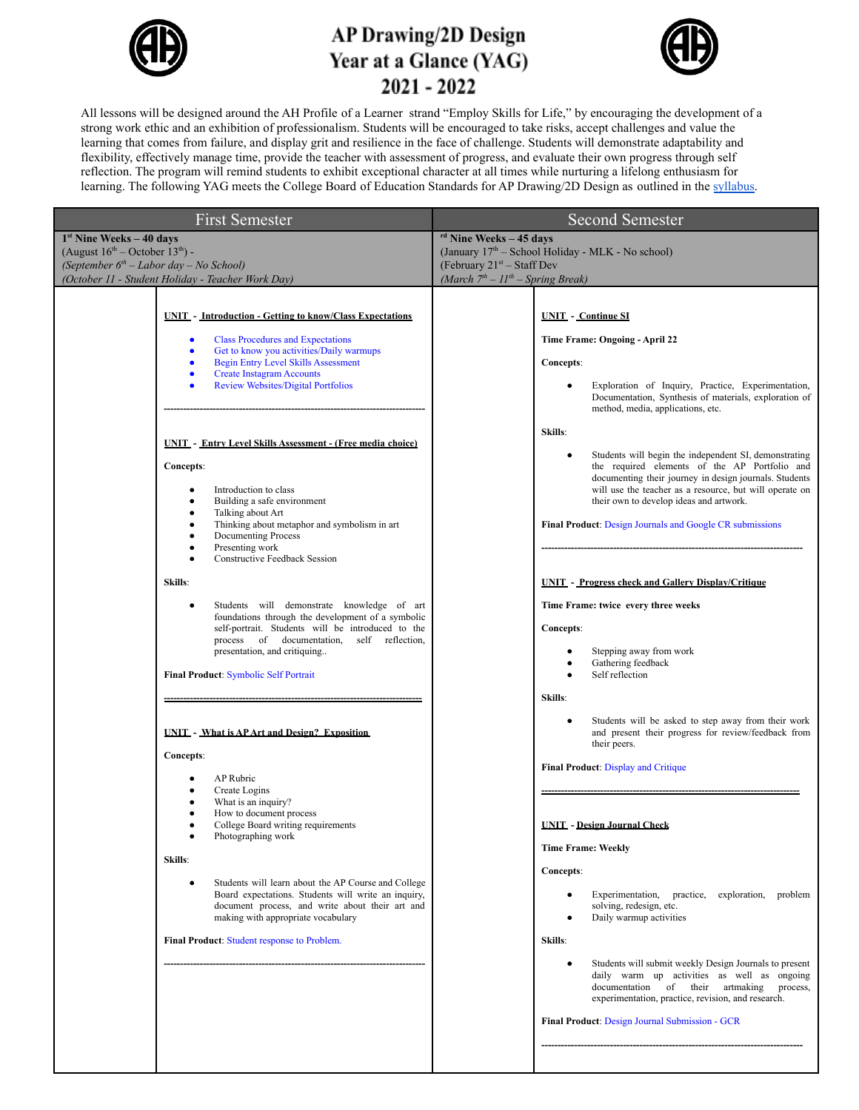

## **AP Drawing/2D Design** Year at a Glance (YAG) 2021 - 2022



All lessons will be designed around the AH Profile of a Learner strand "Employ Skills for Life," by encouraging the development of a strong work ethic and an exhibition of professionalism. Students will be encouraged to take risks, accept challenges and value the learning that comes from failure, and display grit and resilience in the face of challenge. Students will demonstrate adaptability and flexibility, effectively manage time, provide the teacher with assessment of progress, and evaluate their own progress through self reflection. The program will remind students to exhibit exceptional character at all times while nurturing a lifelong enthusiasm for learning. The following YAG meets the College Board of Education Standards for AP Drawing/2D Design as outlined in the [syllabus](https://docs.google.com/document/d/19pcVqnVLgyvyd8TkNH9IT3To5NnNTlEymZzVqHfD4zU/edit?usp=sharing).

| <b>First Semester</b>                                                                                                                                                                                                                                                                                                                                                                                                                                                                                                                                                                                                                                                                                                                                                                                                                                                                                                                                                                                                                                                                                                                                                                                                                                                                                                                                                                                                                                          | Second Semester                                                                                                                                                                                                                                                                                                                                                                                                                                                                                                                                                                                                                                                                                                                                                                                                                                                                                                                                                                                                                                                                                                                                                                                                                                                          |  |
|----------------------------------------------------------------------------------------------------------------------------------------------------------------------------------------------------------------------------------------------------------------------------------------------------------------------------------------------------------------------------------------------------------------------------------------------------------------------------------------------------------------------------------------------------------------------------------------------------------------------------------------------------------------------------------------------------------------------------------------------------------------------------------------------------------------------------------------------------------------------------------------------------------------------------------------------------------------------------------------------------------------------------------------------------------------------------------------------------------------------------------------------------------------------------------------------------------------------------------------------------------------------------------------------------------------------------------------------------------------------------------------------------------------------------------------------------------------|--------------------------------------------------------------------------------------------------------------------------------------------------------------------------------------------------------------------------------------------------------------------------------------------------------------------------------------------------------------------------------------------------------------------------------------------------------------------------------------------------------------------------------------------------------------------------------------------------------------------------------------------------------------------------------------------------------------------------------------------------------------------------------------------------------------------------------------------------------------------------------------------------------------------------------------------------------------------------------------------------------------------------------------------------------------------------------------------------------------------------------------------------------------------------------------------------------------------------------------------------------------------------|--|
| $1st$ Nine Weeks – 40 days<br>(August $16^{\text{th}}$ – October $13^{\text{th}}$ ) -<br>(September 6 <sup>th</sup> – Labor day – No School)<br>(October 11 - Student Holiday - Teacher Work Day)                                                                                                                                                                                                                                                                                                                                                                                                                                                                                                                                                                                                                                                                                                                                                                                                                                                                                                                                                                                                                                                                                                                                                                                                                                                              | <sup>rd</sup> Nine Weeks - 45 days<br>(January 17 <sup>th</sup> - School Holiday - MLK - No school)<br>(February $21^{st}$ – Staff Dev                                                                                                                                                                                                                                                                                                                                                                                                                                                                                                                                                                                                                                                                                                                                                                                                                                                                                                                                                                                                                                                                                                                                   |  |
| <b>UNIT</b> - Introduction - Getting to know/Class Expectations<br><b>Class Procedures and Expectations</b><br>Get to know you activities/Daily warmups<br>$\bullet$<br><b>Begin Entry Level Skills Assessment</b><br><b>Create Instagram Accounts</b><br>$\bullet$<br><b>Review Websites/Digital Portfolios</b><br><b>UNIT - Entry Level Skills Assessment - (Free media choice)</b><br>Concepts:<br>Introduction to class<br>Building a safe environment<br>$\bullet$<br>Talking about Art<br>$\bullet$<br>Thinking about metaphor and symbolism in art<br>$\bullet$<br><b>Documenting Process</b><br>Presenting work<br><b>Constructive Feedback Session</b><br>Skills:<br>Students will demonstrate knowledge of art<br>$\bullet$<br>foundations through the development of a symbolic<br>self-portrait. Students will be introduced to the<br>process of documentation, self reflection,<br>presentation, and critiquing<br><b>Final Product: Symbolic Self Portrait</b><br><b>UNIT</b> - What is AP Art and Design? Exposition<br>Concepts:<br>AP Rubric<br>Create Logins<br>What is an inquiry?<br>How to document process<br>College Board writing requirements<br>Photographing work<br>Skills:<br>Students will learn about the AP Course and College<br>Board expectations. Students will write an inquiry,<br>document process, and write about their art and<br>making with appropriate vocabulary<br>Final Product: Student response to Problem. | (March $7th - 11th - Spring Break$ )<br><b>UNIT</b> - Continue SI<br>Time Frame: Ongoing - April 22<br>Concepts:<br>Exploration of Inquiry, Practice, Experimentation,<br>٠<br>Documentation, Synthesis of materials, exploration of<br>method, media, applications, etc.<br>Skills:<br>Students will begin the independent SI, demonstrating<br>٠<br>the required elements of the AP Portfolio and<br>documenting their journey in design journals. Students<br>will use the teacher as a resource, but will operate on<br>their own to develop ideas and artwork.<br><b>Final Product:</b> Design Journals and Google CR submissions<br><b>UNIT - Progress check and Gallery Display/Critique</b><br>Time Frame: twice every three weeks<br>Concepts:<br>Stepping away from work<br>٠<br>Gathering feedback<br>$\bullet$<br>Self reflection<br>Skills:<br>Students will be asked to step away from their work<br>$\bullet$<br>and present their progress for review/feedback from<br>their peers.<br>Final Product: Display and Critique<br><b>UNIT</b> - Design Journal Check<br><b>Time Frame: Weekly</b><br>Concepts:<br>Experimentation, practice, exploration, problem<br>$\bullet$<br>solving, redesign, etc.<br>Daily warmup activities<br>$\bullet$<br>Skills: |  |
|                                                                                                                                                                                                                                                                                                                                                                                                                                                                                                                                                                                                                                                                                                                                                                                                                                                                                                                                                                                                                                                                                                                                                                                                                                                                                                                                                                                                                                                                | Students will submit weekly Design Journals to present<br>$\bullet$<br>daily warm up activities as well as ongoing<br>documentation of their artmaking process,<br>experimentation, practice, revision, and research.<br>Final Product: Design Journal Submission - GCR                                                                                                                                                                                                                                                                                                                                                                                                                                                                                                                                                                                                                                                                                                                                                                                                                                                                                                                                                                                                  |  |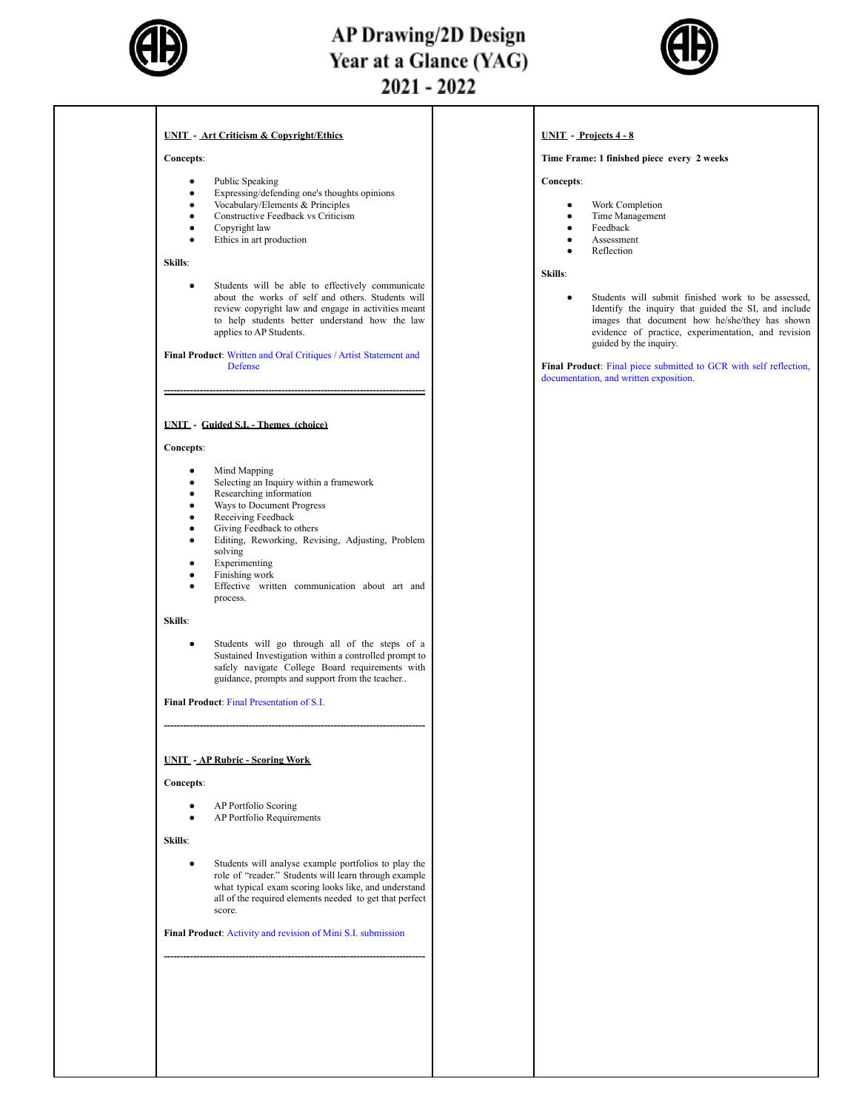

## **AP Drawing/2D Design** Year at a Glance (YAG)  $2021 - 2022$



#### **UNIT - Art Criticism & Copyright/Ethics**

#### **Concepts**:

- Public Speaking
- Expressing/defending one's thoughts opinions
- Vocabulary/Elements & Principles
- Constructive Feedback vs Criticism
- Copyright law Ethics in art production
- 

#### **Skills**:

Students will be able to effectively communicate about the works of self and others. Students will review copyright law and engage in activities meant to help students better understand how the law applies to AP Students.

**Final Product**: Written and Oral Critiques / Artist Statement and Defense

**--------------------------------------------------------------------------------**

#### **UNIT - Guided S.I. - Themes (choice)**

#### **Concepts**:

- Mind Mapping
- Selecting an Inquiry within a framework
- Researching information
- Ways to Document Progress Receiving Feedback
- Giving Feedback to others
- Editing, Reworking, Revising, Adjusting, Problem solving
- **Experimenting**
- Finishing work
- Effective written communication about art and process.

#### **Skills**:

Students will go through all of the steps of a Sustained Investigation within a controlled prompt to safely navigate College Board requirements with guidance, prompts and support from the teacher..

**--------------------------------------------------------------------------------**

**Final Product**: Final Presentation of S.I.

### **UNIT - AP Rubric - Scoring Work**

#### **Concepts**:

- AP Portfolio Scoring
- AP Portfolio Requirements

**Skills**:

Students will analyse example portfolios to play the role of "reader." Students will learn through example what typical exam scoring looks like, and understand all of the required elements needed to get that perfect score.

**Final Product**: Activity and revision of Mini S.I. submission

**--------------------------------------------------------------------------------**

#### **UNIT - Projects 4 - 8**

#### **Time Frame: 1 finished piece every 2 weeks**

**Concepts**:

- Work Completion
- Time Management
- Feedback **Assessment**
- Reflection

**Skills**:

● Students will submit finished work to be assessed, Identify the inquiry that guided the SI, and include images that document how he/she/they has shown evidence of practice, experimentation, and revision guided by the inquiry.

**Final Product**: Final piece submitted to GCR with self reflection, documentation, and written exposition.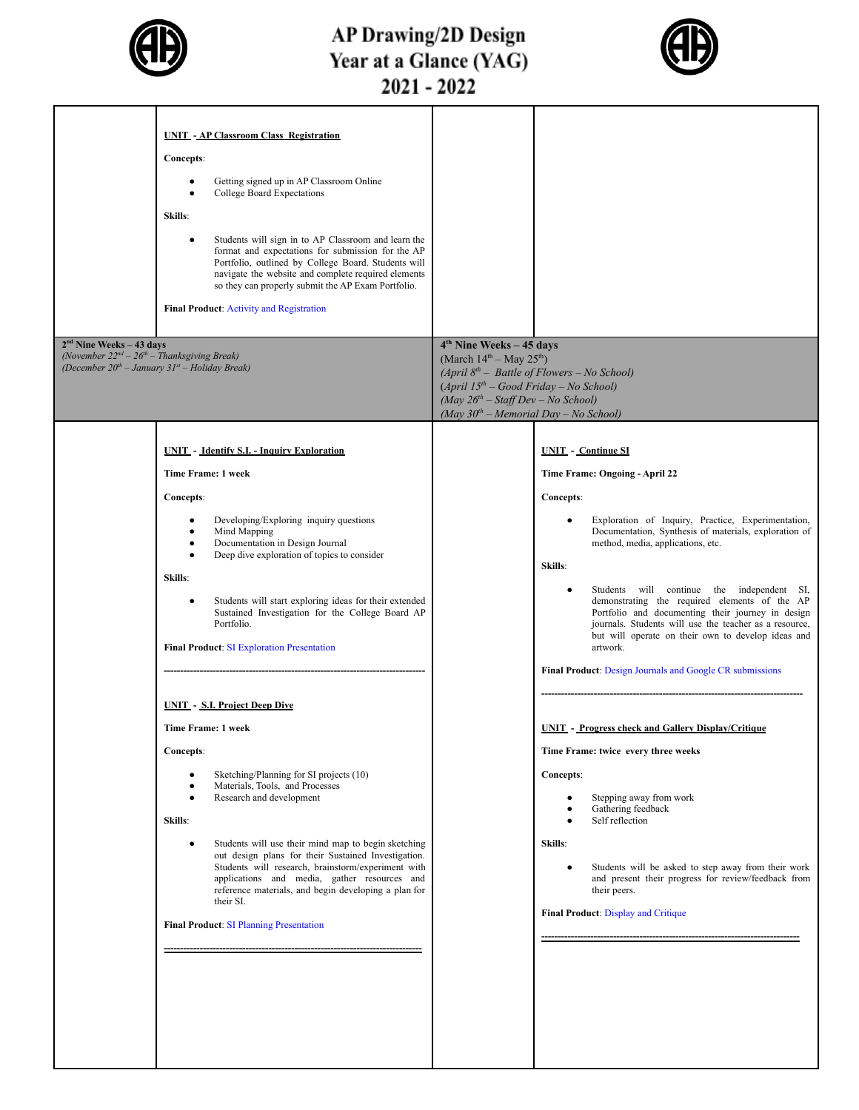

# AP Drawing/2D Design<br>Year at a Glance (YAG)<br>2021 - 2022



| <b>UNIT - AP Classroom Class Registration</b><br>Concepts:<br>Getting signed up in AP Classroom Online<br>$\bullet$<br>College Board Expectations<br>$\bullet$<br>Skills:<br>Students will sign in to AP Classroom and learn the<br>$\bullet$<br>format and expectations for submission for the AP<br>Portfolio, outlined by College Board. Students will<br>navigate the website and complete required elements<br>so they can properly submit the AP Exam Portfolio.<br><b>Final Product: Activity and Registration</b><br>$2nd$ Nine Weeks – 43 days<br>(November $22^{nd} - 26^{th} -$ Thanksgiving Break)                                                                                                                                                                                                                                                                                                                                                                                                                                                          | 4 <sup>th</sup> Nine Weeks - 45 days<br>(March $14^{th}$ – May $25^{th}$ )                                                                                                                                                                                                                                                                                                                                                                                                                                                                                                                                                                                                                                                                                                                                                                                                                                                                                             |
|-------------------------------------------------------------------------------------------------------------------------------------------------------------------------------------------------------------------------------------------------------------------------------------------------------------------------------------------------------------------------------------------------------------------------------------------------------------------------------------------------------------------------------------------------------------------------------------------------------------------------------------------------------------------------------------------------------------------------------------------------------------------------------------------------------------------------------------------------------------------------------------------------------------------------------------------------------------------------------------------------------------------------------------------------------------------------|------------------------------------------------------------------------------------------------------------------------------------------------------------------------------------------------------------------------------------------------------------------------------------------------------------------------------------------------------------------------------------------------------------------------------------------------------------------------------------------------------------------------------------------------------------------------------------------------------------------------------------------------------------------------------------------------------------------------------------------------------------------------------------------------------------------------------------------------------------------------------------------------------------------------------------------------------------------------|
| (December $20^{th}$ - January $31^{st}$ - Holiday Break)                                                                                                                                                                                                                                                                                                                                                                                                                                                                                                                                                                                                                                                                                                                                                                                                                                                                                                                                                                                                                | (April $8^{th}$ – Battle of Flowers – No School)<br>$(April 15th - Good Friday - No School)$<br>(May $26th - Staff Dev - No School$ )<br>(May $30^{th}$ – Memorial Day – No School)                                                                                                                                                                                                                                                                                                                                                                                                                                                                                                                                                                                                                                                                                                                                                                                    |
| <b>UNIT</b> - Identify S.I. - Inquiry Exploration<br>Time Frame: 1 week<br>Concepts:<br>Developing/Exploring inquiry questions<br>٠<br>Mind Mapping<br>$\bullet$<br>Documentation in Design Journal<br>$\bullet$<br>Deep dive exploration of topics to consider<br>$\bullet$<br>Skills:<br>Students will start exploring ideas for their extended<br>$\bullet$<br>Sustained Investigation for the College Board AP<br>Portfolio.<br><b>Final Product: SI Exploration Presentation</b><br><b>UNIT - S.I. Project Deep Dive</b><br>Time Frame: 1 week<br>Concepts:<br>Sketching/Planning for SI projects (10)<br>Materials, Tools, and Processes<br>$\bullet$<br>Research and development<br>$\bullet$<br>Skills:<br>Students will use their mind map to begin sketching<br>$\bullet$<br>out design plans for their Sustained Investigation.<br>Students will research, brainstorm/experiment with<br>applications and media, gather resources and<br>reference materials, and begin developing a plan for<br>their SI.<br><b>Final Product: SI Planning Presentation</b> | <b>UNIT</b> - Continue SI<br>Time Frame: Ongoing - April 22<br>Concepts:<br>Exploration of Inquiry, Practice, Experimentation,<br>Documentation, Synthesis of materials, exploration of<br>method, media, applications, etc.<br>Skills:<br>Students will continue the independent SI,<br>demonstrating the required elements of the AP<br>Portfolio and documenting their journey in design<br>journals. Students will use the teacher as a resource,<br>but will operate on their own to develop ideas and<br>artwork.<br><b>Final Product:</b> Design Journals and Google CR submissions<br><b>UNIT - Progress check and Gallery Display/Critique</b><br>Time Frame: twice every three weeks<br>Concepts:<br>Stepping away from work<br>Gathering feedback<br>Self reflection<br>Skills:<br>Students will be asked to step away from their work<br>and present their progress for review/feedback from<br>their peers.<br><b>Final Product: Display and Critique</b> |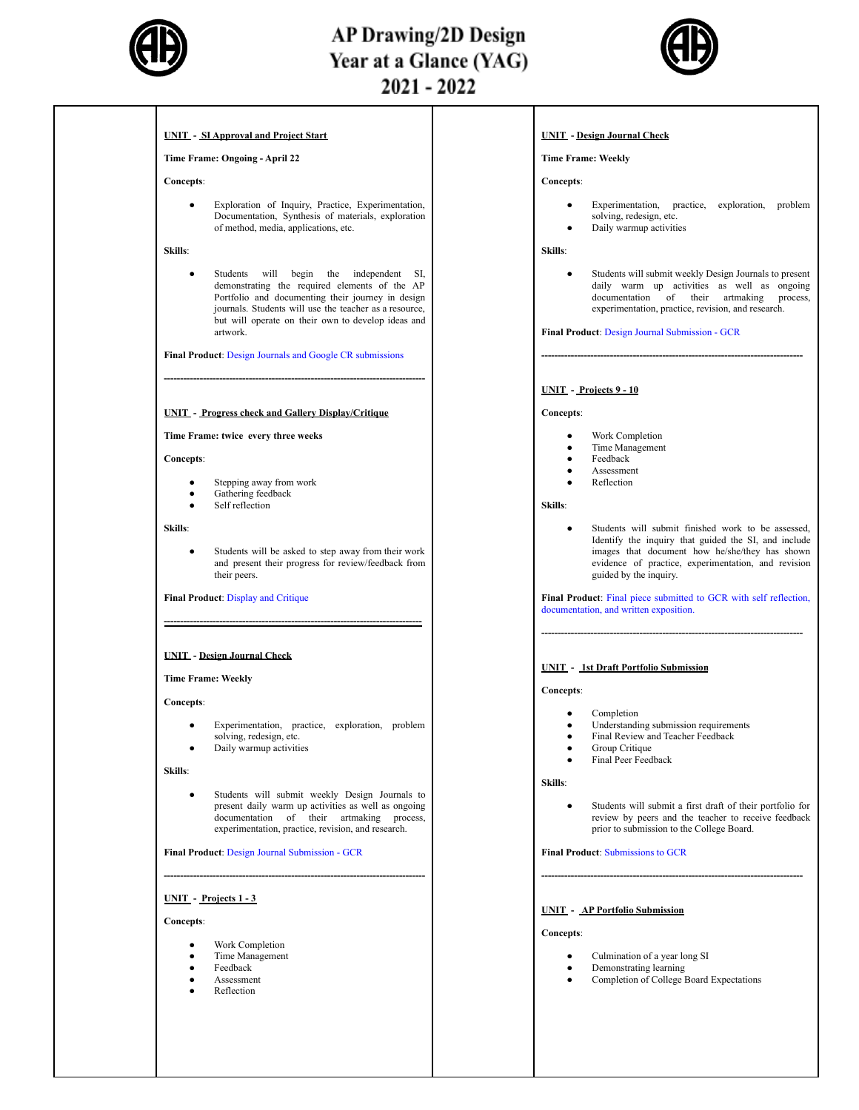

## **AP Drawing/2D Design** Year at a Glance (YAG)  $2021 - 2022$



#### **UNIT - SI Approval and Project Start**

#### **Time Frame: Ongoing - April 22**

#### **Concepts**:

● Exploration of Inquiry, Practice, Experimentation, Documentation, Synthesis of materials, exploration of method, media, applications, etc.

#### **Skills**:

Students will begin the independent SI, demonstrating the required elements of the AP Portfolio and documenting their journey in design journals. Students will use the teacher as a resource, but will operate on their own to develop ideas and artwork.

**Final Product**: Design Journals and Google CR submissions

**--------------------------------------------------------------------------------**

#### **UNIT - Progress check and Gallery Display/Critique**

#### **Time Frame: twice every three weeks**

#### **Concepts**:

- Stepping away from work
- **•** Gathering feedback
- Self reflection

#### **Skills**:

● Students will be asked to step away from their work and present their progress for review/feedback from their peers.

**-------------------------------------------------------------------------------**

#### **Final Product**: Display and Critique

#### **UNIT - Design Journal Check**

#### **Time Frame: Weekly**

#### **Concepts**:

- Experimentation, practice, exploration, problem solving, redesign, etc.
- Daily warmup activities

#### **Skills**:

Students will submit weekly Design Journals to present daily warm up activities as well as ongoing documentation of their artmaking process, experimentation, practice, revision, and research.

**--------------------------------------------------------------------------------**

**Final Product**: Design Journal Submission - GCR

#### **UNIT - Projects 1 - 3**

#### **Concepts**:

- Work Completion
- **Time Management**
- **Feedback**
- **Assessment**
- Reflection

#### **UNIT - Design Journal Check**

#### **Time Frame: Weekly**

**Concepts**:

- Experimentation, practice, exploration, problem solving, redesign, etc.
- Daily warmup activities

#### **Skills**:

Students will submit weekly Design Journals to present daily warm up activities as well as ongoing documentation of their artmaking process, experimentation, practice, revision, and research.

**--------------------------------------------------------------------------------**

**Final Product**: Design Journal Submission - GCR

#### **UNIT - Projects 9 - 10**

#### **Concepts**:

- Work Completion
- Time Management
- Feedback
- **Assessment**
- **Reflection**

#### **Skills**:

Students will submit finished work to be assessed, Identify the inquiry that guided the SI, and include images that document how he/she/they has shown evidence of practice, experimentation, and revision guided by the inquiry.

**Final Product**: Final piece submitted to GCR with self reflection, documentation, and written exposition.

**--------------------------------------------------------------------------------**

#### **UNIT - 1st Draft Portfolio Submission**

#### **Concepts**:

- Completion
- Understanding submission requirements
- Final Review and Teacher Feedback
- **Group Critique**
- Final Peer Feedback

#### **Skills**:

Students will submit a first draft of their portfolio for review by peers and the teacher to receive feedback prior to submission to the College Board.

**--------------------------------------------------------------------------------**

#### **UNIT - AP Portfolio Submission**

- Culmination of a year long SI
- Demonstrating learning
- Completion of College Board Expectations
- 
- 
- 
- 

**Final Product**: Submissions to GCR

**Concepts**:

- 
-